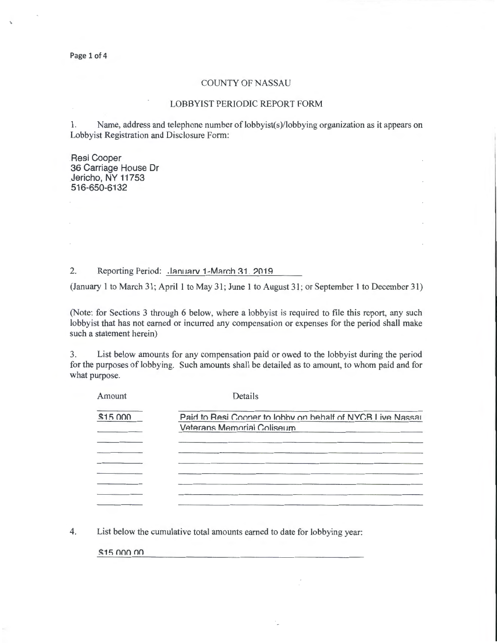Page 1 of 4

## COUNTY OF NASSAU

## LOBBYIST PERIODIC REPORT FORM

1. Name, address and telephone number of lobbyist(s)/lobbying organization as it appears on Lobbyist Registration and Disclosure Form:

Resi Cooper 36 Carriage House Dr Jericho, NY 11753 516-650-6132

2. Reporting Period: .lanuary 1-March 31, 2019

(January 1 to March 31; April 1 to May 31; June 1 to August 31; or September 1 to December 31)

(Note: for Sections 3 through 6 below, where a lobbyist is required to file this report, any such lobbyist that has not earned or incurred any compensation or expenses for the period shall make such a statement herein)

3. List below amounts for any compensation paid or owed to the lobbyist during the period for the purposes of lobbying. Such amounts shall be detailed as to amount, to whom paid and for what purpose.

| Amount   | Details                                                    |
|----------|------------------------------------------------------------|
| \$15,000 | Paid to Resi Cooper to lobby on behalf of NYCR Live Nassar |
|          | Veterans Memorial Coliseum                                 |
|          |                                                            |
|          |                                                            |
|          |                                                            |
|          |                                                            |
|          |                                                            |
|          |                                                            |

4. List below the cumulative total amounts earned to date for lobbying year:

 $$15$  non on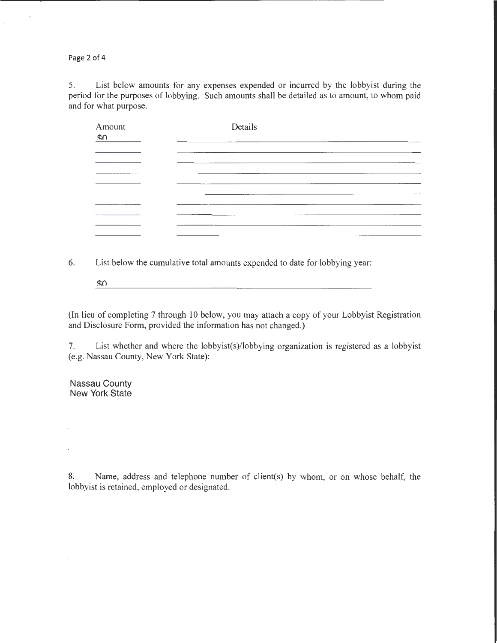Page 2 of 4

5. List below amounts for any expenses expended or incurred by the lobbyist during the period for the purposes of lobbying. Such amounts shall be detailed as to amount, to whom paid and for what purpose.

| Amount<br>ፍስ | Details |
|--------------|---------|
|              |         |
|              |         |
|              |         |
|              |         |

6. List below the cumulative total amounts expended to date for lobbying year:

 $\mathcal{S}^{\Omega}$ 

(In lieu of completing 7 through 10 below, you may attach a copy of your Lobbyist Registration and Disclosure Form, provided the information has not changed.)

7. List whether and where the lobbyist(s)/lobbying organization is registered as a lobbyist (e.g. Nassau County, New York State):

.Nassau County New York State

 $\overline{\phantom{a}}$ 

 $\ddot{\phantom{a}}$ 

8. Name, address and telephone number of client(s) by whom, or on whose behalf, the lobbyist is retained, employed or designated.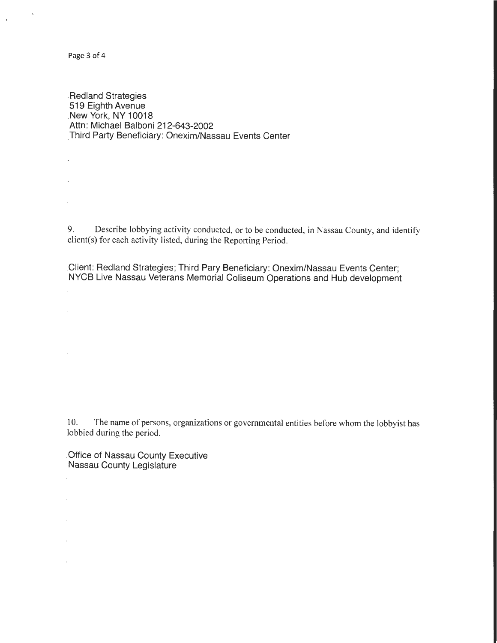Page 3 of 4

 $\overline{\phantom{a}}$ 

÷,

 $\bar{z}$ 

 $\overline{\phantom{a}}$ 

 $\cdot$ 

 $\mathcal{L}$ 

 $\overline{\phantom{a}}$ 

 $\sqrt{ }$ 

 $\bar{\phantom{a}}$ 

.Redland Strategies 519 Eighth Avenue \_New York, NY 10018 Attn: Michael Balboni 212-643-2002 Third Party Beneficiary: Onexim/Nassau Events Center

9. Describe lobbying activity conducted, or to be conducted, in Nassau County, and identify client(s) for each activity listed, during the Reporting Period.

. Client: Redland Strategies; Third Pary Beneficiary: Onexim/Nassau Events Center; NYCB Live Nassau Veterans Memorial Coliseum Operations and Hub development

10. The name of persons, organizations or governmental entities before whom the lobbyist has lobbied during the period.

\_Office of Nassau County Executive Nassau County Legislature